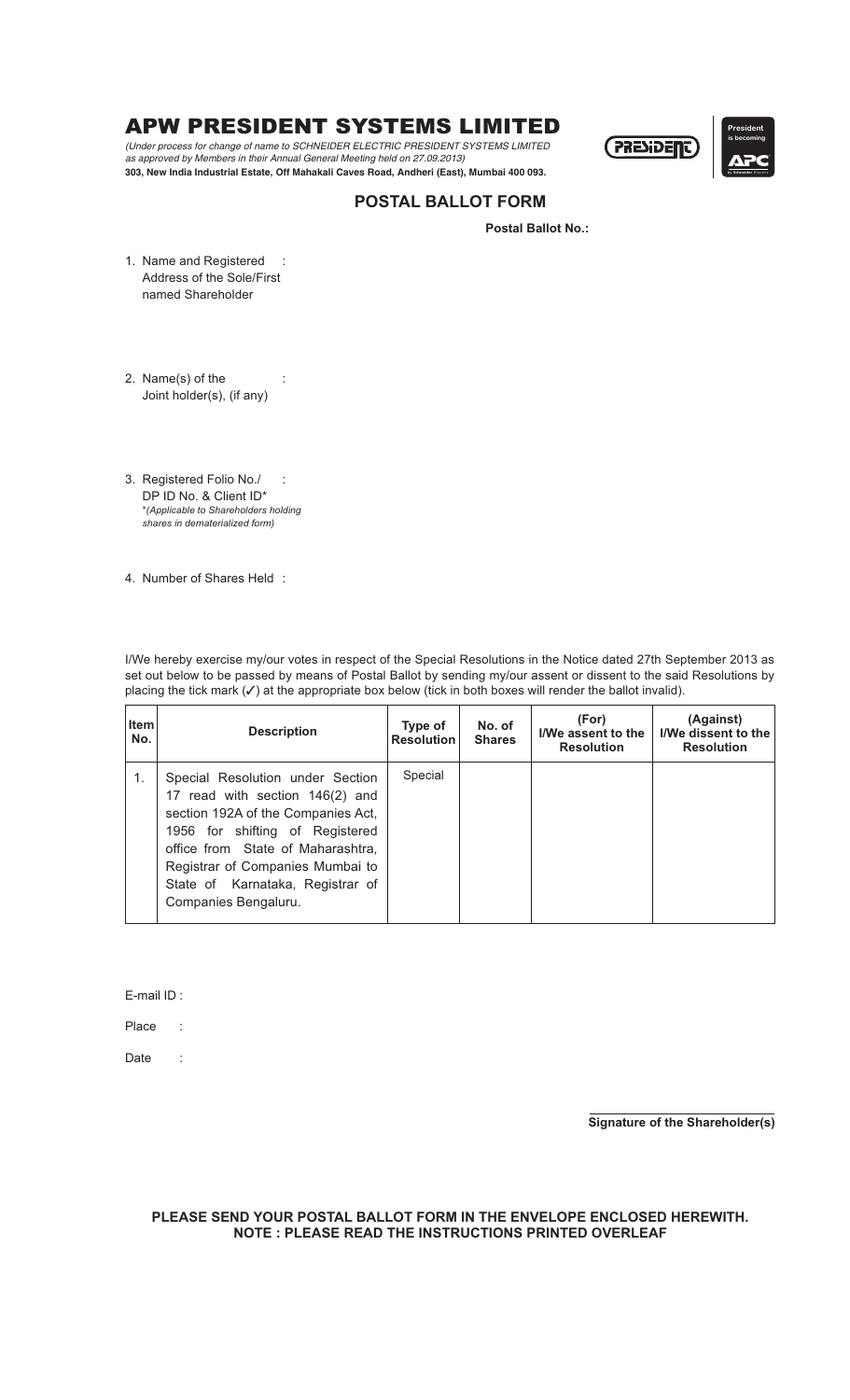## APW PRESIDENT SYSTEMS LIMITED

*(Under process for change of name to SCHNEIDER ELECTRIC PRESIDENT SYSTEMS LIMITED as approved by Members in their Annual General Meeting held on 27.09.2013)* **303, New India Industrial Estate, Off Mahakali Caves Road, Andheri (East), Mumbai 400 093.** by **Schneider** Electric



### **POSTAL BALLOT FORM**

**Postal Ballot No.:**

1. Name and Registered : Address of the Sole/First named Shareholder

2. Name(s) of the Joint holder(s), (if any)

- 3. Registered Folio No./ : DP ID No. & Client ID\* \**(Applicable to Shareholders holding shares in dematerialized form)*
- 4. Number of Shares Held :

I/We hereby exercise my/our votes in respect of the Special Resolutions in the Notice dated 27th September 2013 as set out below to be passed by means of Postal Ballot by sending my/our assent or dissent to the said Resolutions by placing the tick mark  $(V)$  at the appropriate box below (tick in both boxes will render the ballot invalid).

| <b>Item</b><br>No. | <b>Description</b>                                                                                                                                                                                                                                                                | Type of<br><b>Resolution</b> | No. of<br><b>Shares</b> | (For)<br>I/We assent to the<br><b>Resolution</b> | (Against)<br>I/We dissent to the<br><b>Resolution</b> |
|--------------------|-----------------------------------------------------------------------------------------------------------------------------------------------------------------------------------------------------------------------------------------------------------------------------------|------------------------------|-------------------------|--------------------------------------------------|-------------------------------------------------------|
| 1.                 | Special Resolution under Section<br>17 read with section 146(2) and<br>section 192A of the Companies Act,<br>1956 for shifting of Registered<br>office from State of Maharashtra,<br>Registrar of Companies Mumbai to<br>State of Karnataka, Registrar of<br>Companies Bengaluru. | Special                      |                         |                                                  |                                                       |

E-mail ID :

Place :

Date :

**Signature of the Shareholder(s)**

#### **PLEASE SEND YOUR POSTAL BALLOT FORM IN THE ENVELOPE ENCLOSED HEREWITH. NOTE : PLEASE READ THE INSTRUCTIONS PRINTED OVERLEAF**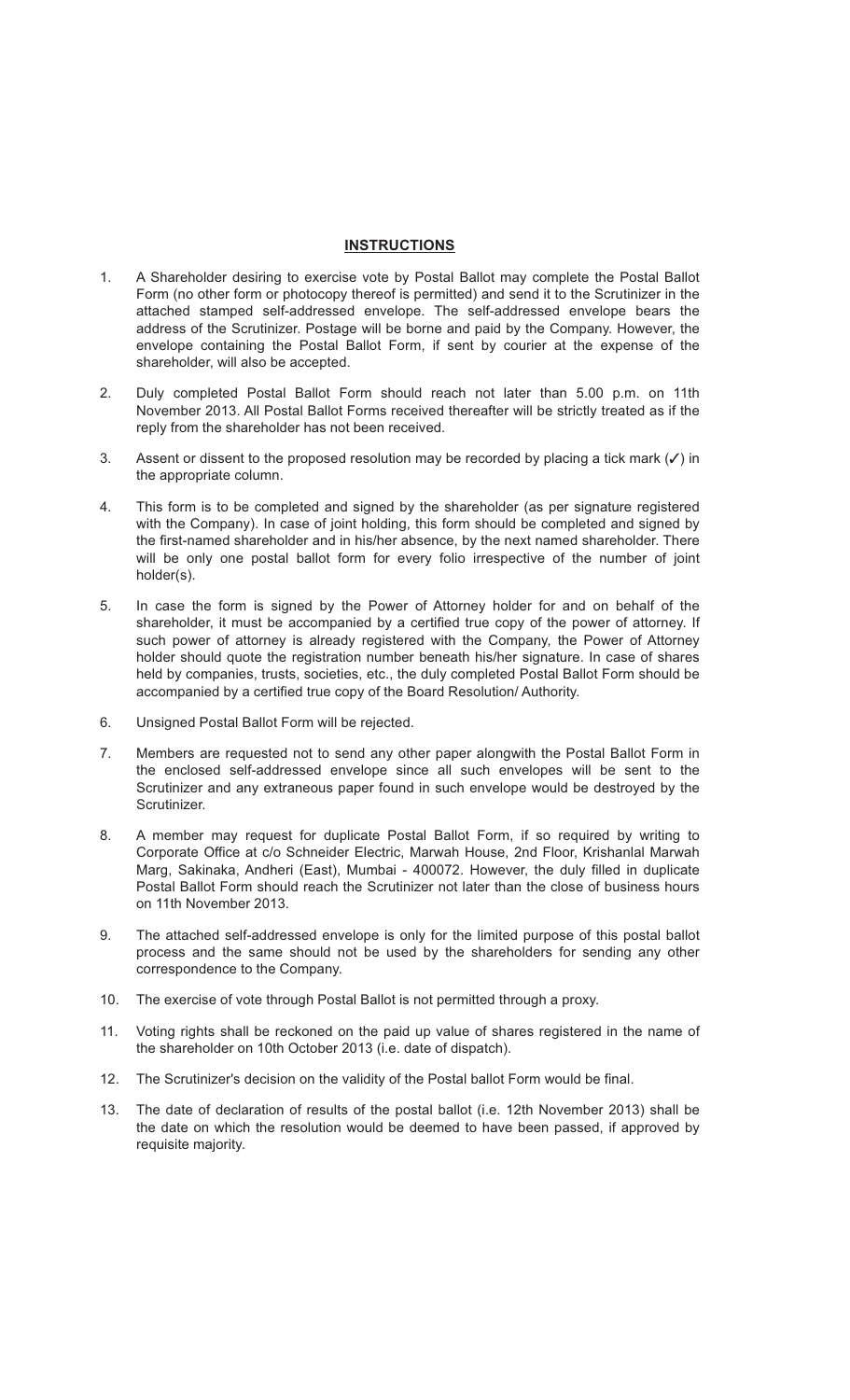### **INSTRUCTIONS**

- 1. A Shareholder desiring to exercise vote by Postal Ballot may complete the Postal Ballot Form (no other form or photocopy thereof is permitted) and send it to the Scrutinizer in the attached stamped self-addressed envelope. The self-addressed envelope bears the address of the Scrutinizer. Postage will be borne and paid by the Company. However, the envelope containing the Postal Ballot Form, if sent by courier at the expense of the shareholder, will also be accepted.
- 2. Duly completed Postal Ballot Form should reach not later than 5.00 p.m. on 11th November 2013. All Postal Ballot Forms received thereafter will be strictly treated as if the reply from the shareholder has not been received.
- 3. Assent or dissent to the proposed resolution may be recorded by placing a tick mark  $(V)$  in the appropriate column.
- 4. This form is to be completed and signed by the shareholder (as per signature registered with the Company). In case of joint holding, this form should be completed and signed by the first-named shareholder and in his/her absence, by the next named shareholder. There will be only one postal ballot form for every folio irrespective of the number of joint holder(s).
- 5. In case the form is signed by the Power of Attorney holder for and on behalf of the shareholder, it must be accompanied by a certified true copy of the power of attorney. If such power of attorney is already registered with the Company, the Power of Attorney holder should quote the registration number beneath his/her signature. In case of shares held by companies, trusts, societies, etc., the duly completed Postal Ballot Form should be accompanied by a certified true copy of the Board Resolution/ Authority.
- 6. Unsigned Postal Ballot Form will be rejected.
- 7. Members are requested not to send any other paper alongwith the Postal Ballot Form in the enclosed self-addressed envelope since all such envelopes will be sent to the Scrutinizer and any extraneous paper found in such envelope would be destroyed by the Scrutinizer.
- 8. A member may request for duplicate Postal Ballot Form, if so required by writing to Corporate Office at c/o Schneider Electric, Marwah House, 2nd Floor, Krishanlal Marwah Marg, Sakinaka, Andheri (East), Mumbai - 400072. However, the duly filled in duplicate Postal Ballot Form should reach the Scrutinizer not later than the close of business hours on 11th November 2013.
- 9. The attached self-addressed envelope is only for the limited purpose of this postal ballot process and the same should not be used by the shareholders for sending any other correspondence to the Company.
- 10. The exercise of vote through Postal Ballot is not permitted through a proxy.
- 11. Voting rights shall be reckoned on the paid up value of shares registered in the name of the shareholder on 10th October 2013 (i.e. date of dispatch).
- 12. The Scrutinizer's decision on the validity of the Postal ballot Form would be final.
- 13. The date of declaration of results of the postal ballot (i.e. 12th November 2013) shall be the date on which the resolution would be deemed to have been passed, if approved by requisite majority.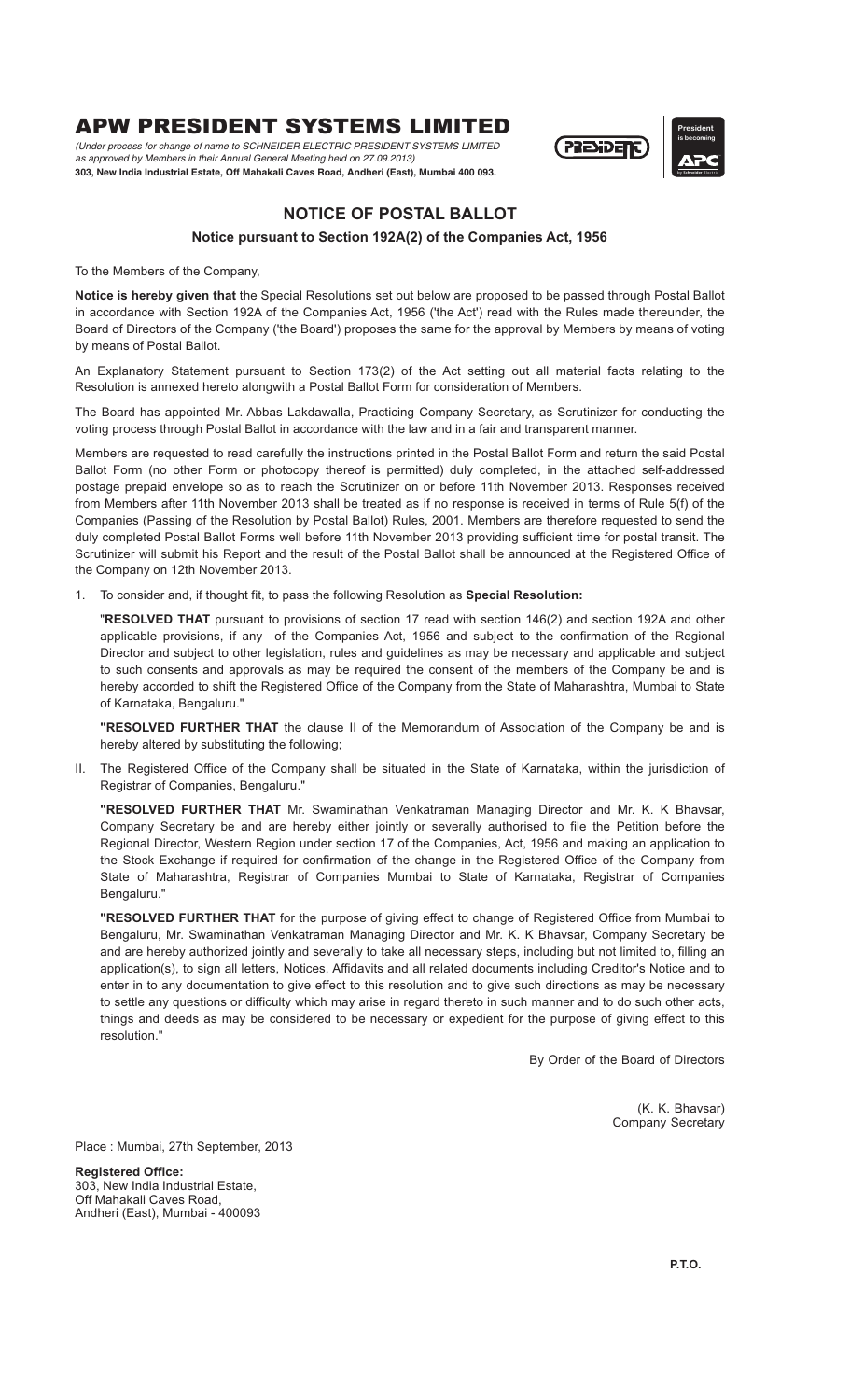## APW PRESIDENT SYSTEMS LIMITED

*(Under process for change of name to SCHNEIDER ELECTRIC PRESIDENT SYSTEMS LIMITED as approved by Members in their Annual General Meeting held on 27.09.2013)* **303, New India Industrial Estate, Off Mahakali Caves Road, Andheri (East), Mumbai 400 093.** by **Schneider** Electric



# **President is becoming**

### **NOTICE OF POSTAL BALLOT**

### **Notice pursuant to Section 192A(2) of the Companies Act, 1956**

To the Members of the Company,

Notice is hereby given that the Special Resolutions set out below are proposed to be passed through Postal Ballot in accordance with Section 192A of the Companies Act, 1956 ('the Act') read with the Rules made thereunder, the Board of Directors of the Company ('the Board') proposes the same for the approval by Members by means of voting by means of Postal Ballot.

An Explanatory Statement pursuant to Section 173(2) of the Act setting out all material facts relating to the Resolution is annexed hereto alongwith a Postal Ballot Form for consideration of Members.

The Board has appointed Mr. Abbas Lakdawalla, Practicing Company Secretary, as Scrutinizer for conducting the voting process through Postal Ballot in accordance with the law and in a fair and transparent manner.

Members are requested to read carefully the instructions printed in the Postal Ballot Form and return the said Postal Ballot Form (no other Form or photocopy thereof is permitted) duly completed, in the attached self-addressed postage prepaid envelope so as to reach the Scrutinizer on or before 11th November 2013. Responses received from Members after 11th November 2013 shall be treated as if no response is received in terms of Rule 5(f) of the Companies (Passing of the Resolution by Postal Ballot) Rules, 2001. Members are therefore requested to send the duly completed Postal Ballot Forms well before 11th November 2013 providing sufficient time for postal transit. The Scrutinizer will submit his Report and the result of the Postal Ballot shall be announced at the Registered Office of the Company on 12th November 2013.

1. To consider and, if thought fit, to pass the following Resolution as **Special Resolution:**

"RESOLVED THAT pursuant to provisions of section 17 read with section 146(2) and section 192A and other applicable provisions, if any of the Companies Act, 1956 and subject to the confirmation of the Regional Director and subject to other legislation, rules and guidelines as may be necessary and applicable and subject to such consents and approvals as may be required the consent of the members of the Company be and is hereby accorded to shift the Registered Office of the Company from the State of Maharashtra, Mumbai to State of Karnataka, Bengaluru."

**"RESOLVED FURTHER THAT** the clause II of the Memorandum of Association of the Company be and is hereby altered by substituting the following;

II. The Registered Office of the Company shall be situated in the State of Karnataka, within the jurisdiction of Registrar of Companies, Bengaluru."

**"RESOLVED FURTHER THAT** Mr. Swaminathan Venkatraman Managing Director and Mr. K. K Bhavsar, Company Secretary be and are hereby either jointly or severally authorised to file the Petition before the Regional Director, Western Region under section 17 of the Companies, Act, 1956 and making an application to the Stock Exchange if required for confirmation of the change in the Registered Office of the Company from State of Maharashtra, Registrar of Companies Mumbai to State of Karnataka, Registrar of Companies Bengaluru."

**"RESOLVED FURTHER THAT** for the purpose of giving effect to change of Registered Office from Mumbai to Bengaluru, Mr. Swaminathan Venkatraman Managing Director and Mr. K. K Bhavsar, Company Secretary be and are hereby authorized jointly and severally to take all necessary steps, including but not limited to, filling an application(s), to sign all letters, Notices, Affidavits and all related documents including Creditor's Notice and to enter in to any documentation to give effect to this resolution and to give such directions as may be necessary to settle any questions or difficulty which may arise in regard thereto in such manner and to do such other acts, things and deeds as may be considered to be necessary or expedient for the purpose of giving effect to this resolution."

By Order of the Board of Directors

(K. K. Bhavsar) Company Secretary

Place : Mumbai, 27th September, 2013

303, New India Industrial Estate, Off Mahakali Caves Road, Andheri (East), Mumbai - 400093 **Registered Office:**

**P.T.O.**